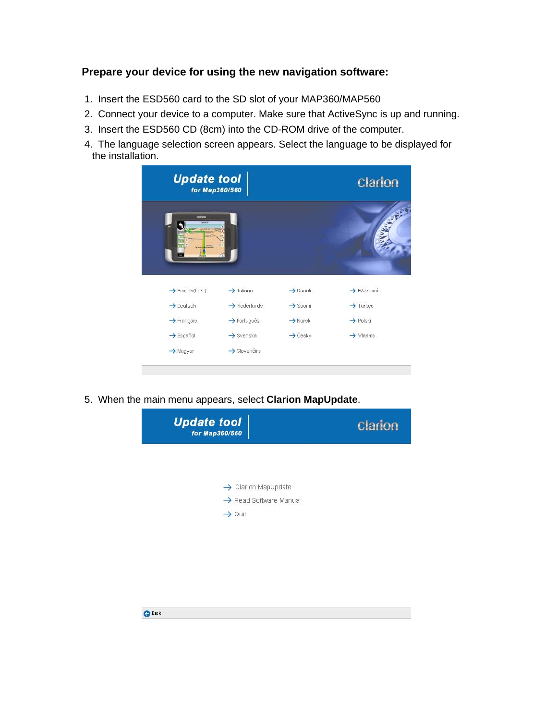### **Prepare your device for using the new navigation software:**

- 1. Insert the ESD560 card to the SD slot of your MAP360/MAP560
- 2. Connect your device to a computer. Make sure that ActiveSync is up and running.
- 3. Insert the ESD560 CD (8cm) into the CD-ROM drive of the computer.
- 4. The language selection screen appears. Select the language to be displayed for the installation.



5. When the main menu appears, select **Clarion MapUpdate**.

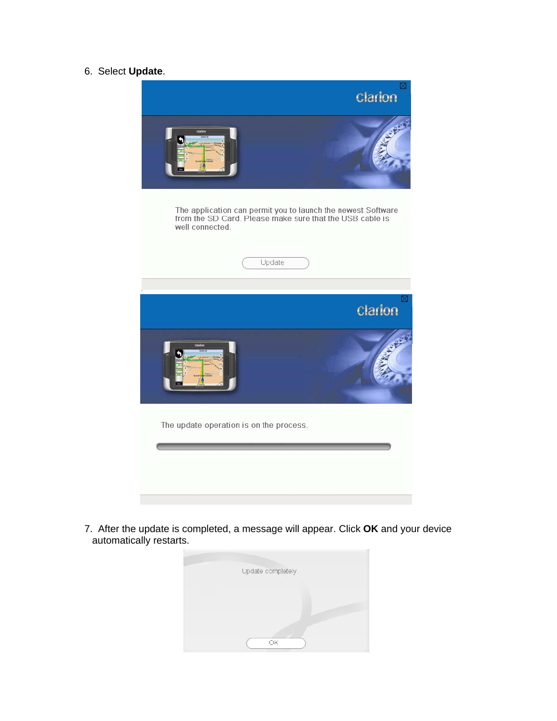## 6. Select **Update**.



7. After the update is completed, a message will appear. Click **OK** and your device automatically restarts.

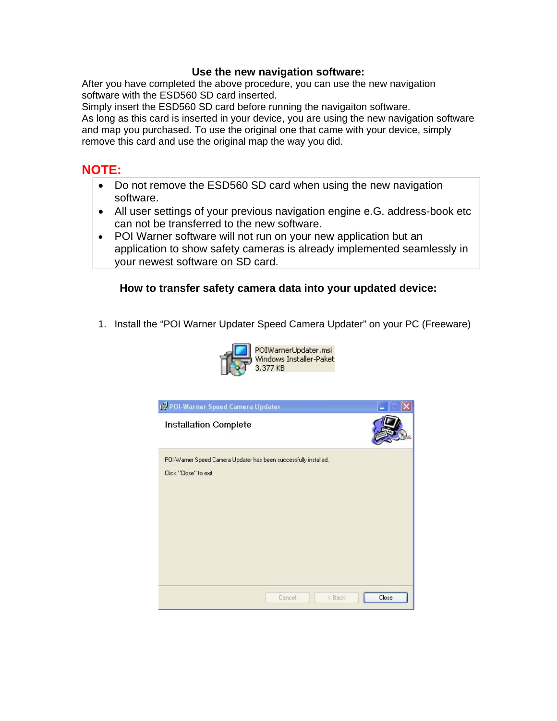#### **Use the new navigation software:**

After you have completed the above procedure, you can use the new navigation software with the ESD560 SD card inserted.

Simply insert the ESD560 SD card before running the navigaiton software.

As long as this card is inserted in your device, you are using the new navigation software and map you purchased. To use the original one that came with your device, simply remove this card and use the original map the way you did.

# **NOTE:**

- Do not remove the ESD560 SD card when using the new navigation software.
- All user settings of your previous navigation engine e.G. address-book etc can not be transferred to the new software.
- POI Warner software will not run on your new application but an application to show safety cameras is already implemented seamlessly in your newest software on SD card.

## **How to transfer safety camera data into your updated device:**

1. Install the "POI Warner Updater Speed Camera Updater" on your PC (Freeware)



| 19 POI-Warner Speed Camera Updater                                                         |                                |
|--------------------------------------------------------------------------------------------|--------------------------------|
| <b>Installation Complete</b>                                                               |                                |
| POI-Warner Speed Camera Updater has been successfully installed.<br>Click "Close" to exit. |                                |
|                                                                                            |                                |
|                                                                                            |                                |
|                                                                                            |                                |
|                                                                                            |                                |
| Cancel                                                                                     | Close<br><back< td=""></back<> |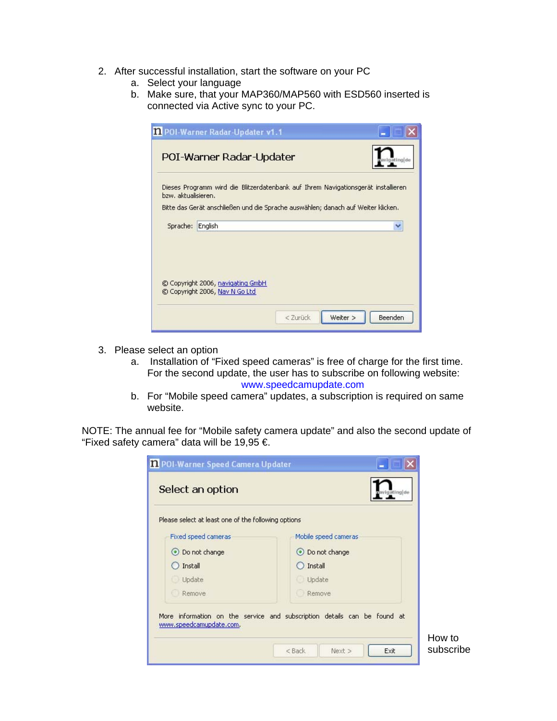- 2. After successful installation, start the software on your PC
	- a. Select your language
	- b. Make sure, that your MAP360/MAP560 with ESD560 inserted is connected via Active sync to your PC.

| 1.1 POI-Warner Radar-Updater v1                                                   |                                                                                   |
|-----------------------------------------------------------------------------------|-----------------------------------------------------------------------------------|
| POI-Warner Radar-Updater                                                          | ating[de                                                                          |
| bzw. aktualisieren.                                                               | Dieses Programm wird die Blitzerdatenbank auf Ihrem Navigationsgerät installieren |
| Bitte das Gerät anschließen und die Sprache auswählen; danach auf Weiter klicken. |                                                                                   |
| English<br>Sprache:                                                               | v                                                                                 |
| © Copyright 2006, navigating GmbH<br>C Copyright 2006, Nav N Go Ltd               | < Zurück<br>Weiter ><br>Beenden                                                   |

- 3. Please select an option
	- a. Installation of "Fixed speed cameras" is free of charge for the first time. For the second update, the user has to subscribe on following website: www.speedcamupdate.com
	- b. For "Mobile speed camera" updates, a subscription is required on same website.

NOTE: The annual fee for "Mobile safety camera update" and also the second update of "Fixed safety camera" data will be 19,95  $\epsilon$ .

| 1 POI-Warner Speed Camera Updater<br>Select an option | gating[de                                                                |                     |
|-------------------------------------------------------|--------------------------------------------------------------------------|---------------------|
| Please select at least one of the following options   |                                                                          |                     |
| Fixed speed cameras                                   | Mobile speed cameras                                                     |                     |
| O Do not change                                       | O Do not change                                                          |                     |
| Install                                               | Install                                                                  |                     |
| Update                                                | Update                                                                   |                     |
| Remove                                                | Remove                                                                   |                     |
|                                                       | More information on the service and subscription details can be found at |                     |
| www.speedcamupdate.com.                               | $<$ Back<br>Next ><br>Exit                                               | How to<br>subscribe |